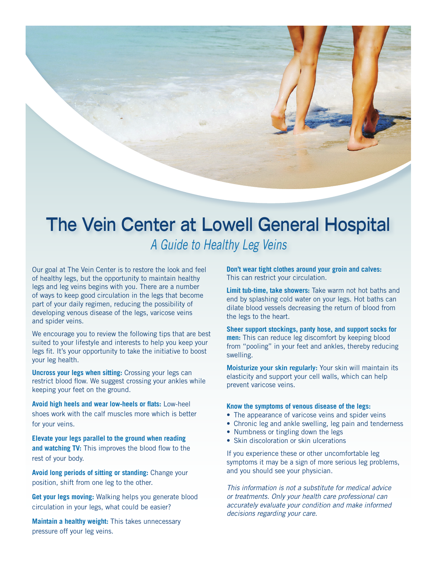

# **The Vein Center at Lowell General Hospital**

*A Guide to Healthy Leg Veins*

Our goal at The Vein Center is to restore the look and feel of healthy legs, but the opportunity to maintain healthy legs and leg veins begins with you. There are a number of ways to keep good circulation in the legs that become part of your daily regimen, reducing the possibility of developing venous disease of the legs, varicose veins and spider veins.

We encourage you to review the following tips that are best suited to your lifestyle and interests to help you keep your legs fit. It's your opportunity to take the initiative to boost your leg health.

**Uncross your legs when sitting:** Crossing your legs can restrict blood flow. We suggest crossing your ankles while keeping your feet on the ground.

**Avoid high heels and wear low-heels or flats:** Low-heel shoes work with the calf muscles more which is better for your veins.

**Elevate your legs parallel to the ground when reading and watching TV:** This improves the blood flow to the rest of your body.

**Avoid long periods of sitting or standing:** Change your position, shift from one leg to the other.

**Get your legs moving:** Walking helps you generate blood circulation in your legs, what could be easier?

**Maintain a healthy weight:** This takes unnecessary pressure off your leg veins.

**Don't wear tight clothes around your groin and calves:** This can restrict your circulation.

**Limit tub-time, take showers:** Take warm not hot baths and end by splashing cold water on your legs. Hot baths can dilate blood vessels decreasing the return of blood from the legs to the heart.

**Sheer support stockings, panty hose, and support socks for men:** This can reduce leg discomfort by keeping blood from "pooling" in your feet and ankles, thereby reducing swelling.

Moisturize your skin regularly: Your skin will maintain its elasticity and support your cell walls, which can help prevent varicose veins.

#### **Know the symptoms of venous disease of the legs:**

- The appearance of varicose veins and spider veins
- Chronic leg and ankle swelling, leg pain and tenderness
- Numbness or tingling down the legs
- Skin discoloration or skin ulcerations

If you experience these or other uncomfortable leg symptoms it may be a sign of more serious leg problems, and you should see your physician.

*This information is not a substitute for medical advice or treatments. Only your health care professional can accurately evaluate your condition and make informed decisions regarding your care.*